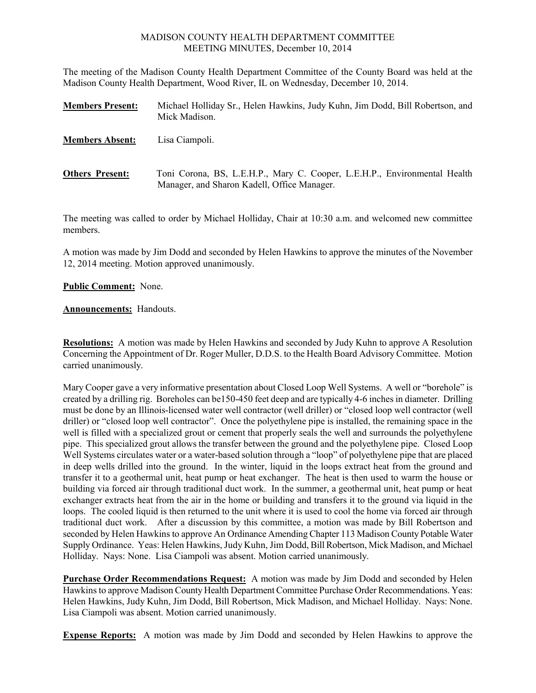## MADISON COUNTY HEALTH DEPARTMENT COMMITTEE MEETING MINUTES, December 10, 2014

The meeting of the Madison County Health Department Committee of the County Board was held at the Madison County Health Department, Wood River, IL on Wednesday, December 10, 2014.

| <b>Members Present:</b> | Michael Holliday Sr., Helen Hawkins, Judy Kuhn, Jim Dodd, Bill Robertson, and<br>Mick Madison.                           |
|-------------------------|--------------------------------------------------------------------------------------------------------------------------|
| <b>Members Absent:</b>  | Lisa Ciampoli.                                                                                                           |
| <b>Others Present:</b>  | Toni Corona, BS, L.E.H.P., Mary C. Cooper, L.E.H.P., Environmental Health<br>Manager, and Sharon Kadell, Office Manager. |

The meeting was called to order by Michael Holliday, Chair at 10:30 a.m. and welcomed new committee members.

A motion was made by Jim Dodd and seconded by Helen Hawkins to approve the minutes of the November 12, 2014 meeting. Motion approved unanimously.

**Public Comment:** None.

**Announcements:** Handouts.

**Resolutions:** A motion was made by Helen Hawkins and seconded by Judy Kuhn to approve A Resolution Concerning the Appointment of Dr. Roger Muller, D.D.S. to the Health Board Advisory Committee. Motion carried unanimously.

Mary Cooper gave a very informative presentation about Closed Loop Well Systems. A well or "borehole" is created by a drilling rig. Boreholes can be150-450 feet deep and are typically 4-6 inches in diameter. Drilling must be done by an Illinois-licensed water well contractor (well driller) or "closed loop well contractor (well driller) or "closed loop well contractor". Once the polyethylene pipe is installed, the remaining space in the well is filled with a specialized grout or cement that properly seals the well and surrounds the polyethylene pipe. This specialized grout allows the transfer between the ground and the polyethylene pipe. Closed Loop Well Systems circulates water or a water-based solution through a "loop" of polyethylene pipe that are placed in deep wells drilled into the ground. In the winter, liquid in the loops extract heat from the ground and transfer it to a geothermal unit, heat pump or heat exchanger. The heat is then used to warm the house or building via forced air through traditional duct work. In the summer, a geothermal unit, heat pump or heat exchanger extracts heat from the air in the home or building and transfers it to the ground via liquid in the loops. The cooled liquid is then returned to the unit where it is used to cool the home via forced air through traditional duct work. After a discussion by this committee, a motion was made by Bill Robertson and seconded by Helen Hawkins to approve An Ordinance Amending Chapter 113 Madison County Potable Water Supply Ordinance. Yeas: Helen Hawkins, Judy Kuhn, Jim Dodd, Bill Robertson, Mick Madison, and Michael Holliday. Nays: None. Lisa Ciampoli was absent. Motion carried unanimously.

**Purchase Order Recommendations Request:** A motion was made by Jim Dodd and seconded by Helen Hawkins to approve Madison County Health Department Committee Purchase Order Recommendations. Yeas: Helen Hawkins, Judy Kuhn, Jim Dodd, Bill Robertson, Mick Madison, and Michael Holliday. Nays: None. Lisa Ciampoli was absent. Motion carried unanimously.

**Expense Reports:** A motion was made by Jim Dodd and seconded by Helen Hawkins to approve the